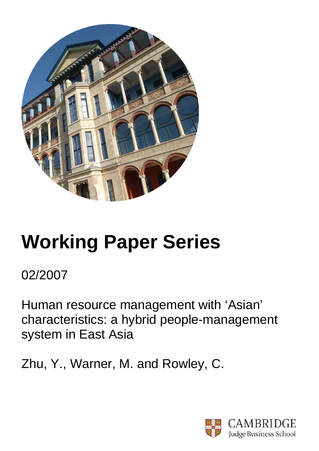

# **Working Paper Series**

02/2007

Human resource management with 'Asian' characteristics: a hybrid people-management system in East Asia

Zhu, Y., Warner, M. and Rowley, C.

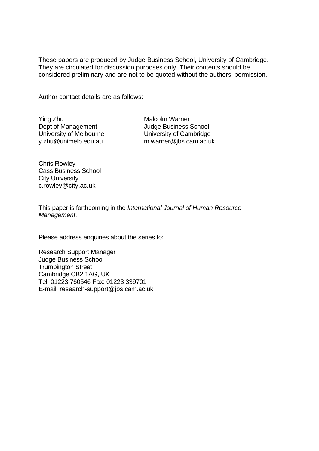These papers are produced by Judge Business School, University of Cambridge. They are circulated for discussion purposes only. Their contents should be considered preliminary and are not to be quoted without the authors' permission.

Author contact details are as follows:

Ying Zhu Dept of Management University of Melbourne y.zhu@unimelb.edu.au

Malcolm Warner Judge Business School University of Cambridge m.warner@jbs.cam.ac.uk

Chris Rowley Cass Business School City University c.rowley@city.ac.uk

This paper is forthcoming in the *International Journal of Human Resource Management*.

Please address enquiries about the series to:

Research Support Manager Judge Business School Trumpington Street Cambridge CB2 1AG, UK Tel: 01223 760546 Fax: 01223 339701 E-mail: research-support@jbs.cam.ac.uk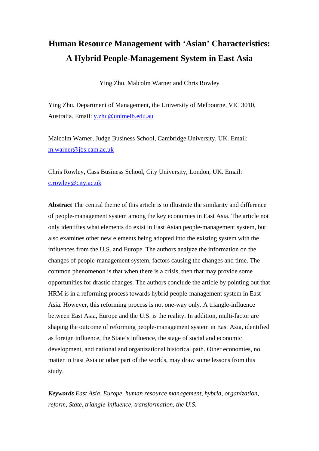# **Human Resource Management with 'Asian' Characteristics: A Hybrid People-Management System in East Asia**

Ying Zhu, Malcolm Warner and Chris Rowley

Ying Zhu, Department of Management, the University of Melbourne, VIC 3010, Australia. Email: y.zhu@unimelb.edu.au

Malcolm Warner, Judge Business School, Cambridge University, UK. Email: m.warner@jbs.cam.ac.uk

Chris Rowley, Cass Business School, City University, London, UK. Email: c.rowley@city.ac.uk

**Abstract** The central theme of this article is to illustrate the similarity and difference of people-management system among the key economies in East Asia. The article not only identifies what elements do exist in East Asian people-management system, but also examines other new elements being adopted into the existing system with the influences from the U.S. and Europe. The authors analyze the information on the changes of people-management system, factors causing the changes and time. The common phenomenon is that when there is a crisis, then that may provide some opportunities for drastic changes. The authors conclude the article by pointing out that HRM is in a reforming process towards hybrid people-management system in East Asia. However, this reforming process is not one-way only. A triangle-influence between East Asia, Europe and the U.S. is the reality. In addition, multi-factor are shaping the outcome of reforming people-management system in East Asia, identified as foreign influence, the State's influence, the stage of social and economic development, and national and organizational historical path. Other economies, no matter in East Asia or other part of the worlds, may draw some lessons from this study.

*Keywords East Asia, Europe, human resource management, hybrid, organization, reform, State, triangle-influence, transformation, the U.S.*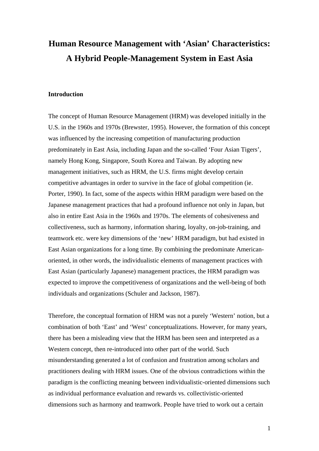# **Human Resource Management with 'Asian' Characteristics: A Hybrid People-Management System in East Asia**

#### **Introduction**

The concept of Human Resource Management (HRM) was developed initially in the U.S. in the 1960s and 1970s (Brewster, 1995). However, the formation of this concept was influenced by the increasing competition of manufacturing production predominately in East Asia, including Japan and the so-called 'Four Asian Tigers', namely Hong Kong, Singapore, South Korea and Taiwan. By adopting new management initiatives, such as HRM, the U.S. firms might develop certain competitive advantages in order to survive in the face of global competition (ie. Porter, 1990). In fact, some of the aspects within HRM paradigm were based on the Japanese management practices that had a profound influence not only in Japan, but also in entire East Asia in the 1960s and 1970s. The elements of cohesiveness and collectiveness, such as harmony, information sharing, loyalty, on-job-training, and teamwork etc. were key dimensions of the 'new' HRM paradigm, but had existed in East Asian organizations for a long time. By combining the predominate Americanoriented, in other words, the individualistic elements of management practices with East Asian (particularly Japanese) management practices, the HRM paradigm was expected to improve the competitiveness of organizations and the well-being of both individuals and organizations (Schuler and Jackson, 1987).

Therefore, the conceptual formation of HRM was not a purely 'Western' notion, but a combination of both 'East' and 'West' conceptualizations. However, for many years, there has been a misleading view that the HRM has been seen and interpreted as a Western concept, then re-introduced into other part of the world. Such misunderstanding generated a lot of confusion and frustration among scholars and practitioners dealing with HRM issues. One of the obvious contradictions within the paradigm is the conflicting meaning between individualistic-oriented dimensions such as individual performance evaluation and rewards vs. collectivistic-oriented dimensions such as harmony and teamwork. People have tried to work out a certain

1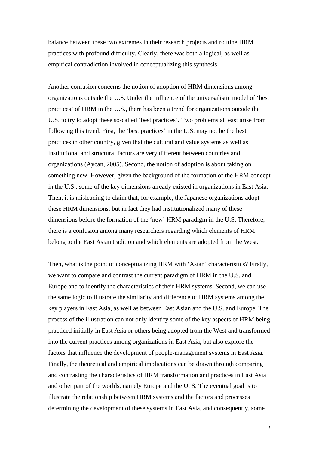balance between these two extremes in their research projects and routine HRM practices with profound difficulty. Clearly, there was both a logical, as well as empirical contradiction involved in conceptualizing this synthesis.

Another confusion concerns the notion of adoption of HRM dimensions among organizations outside the U.S. Under the influence of the universalistic model of 'best practices' of HRM in the U.S., there has been a trend for organizations outside the U.S. to try to adopt these so-called 'best practices'. Two problems at least arise from following this trend. First, the 'best practices' in the U.S. may not be the best practices in other country, given that the cultural and value systems as well as institutional and structural factors are very different between countries and organizations (Aycan, 2005). Second, the notion of adoption is about taking on something new. However, given the background of the formation of the HRM concept in the U.S., some of the key dimensions already existed in organizations in East Asia. Then, it is misleading to claim that, for example, the Japanese organizations adopt these HRM dimensions, but in fact they had institutionalized many of these dimensions before the formation of the 'new' HRM paradigm in the U.S. Therefore, there is a confusion among many researchers regarding which elements of HRM belong to the East Asian tradition and which elements are adopted from the West.

Then, what is the point of conceptualizing HRM with 'Asian' characteristics? Firstly, we want to compare and contrast the current paradigm of HRM in the U.S. and Europe and to identify the characteristics of their HRM systems. Second, we can use the same logic to illustrate the similarity and difference of HRM systems among the key players in East Asia, as well as between East Asian and the U.S. and Europe. The process of the illustration can not only identify some of the key aspects of HRM being practiced initially in East Asia or others being adopted from the West and transformed into the current practices among organizations in East Asia, but also explore the factors that influence the development of people-management systems in East Asia. Finally, the theoretical and empirical implications can be drawn through comparing and contrasting the characteristics of HRM transformation and practices in East Asia and other part of the worlds, namely Europe and the U. S. The eventual goal is to illustrate the relationship between HRM systems and the factors and processes determining the development of these systems in East Asia, and consequently, some

2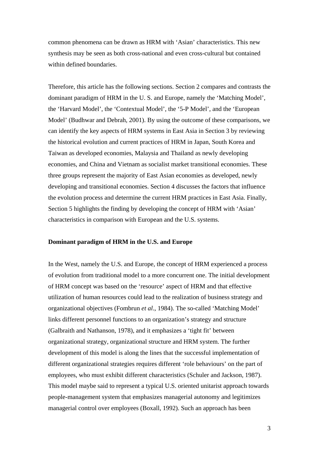common phenomena can be drawn as HRM with 'Asian' characteristics. This new synthesis may be seen as both cross-national and even cross-cultural but contained within defined boundaries.

Therefore, this article has the following sections. Section 2 compares and contrasts the dominant paradigm of HRM in the U. S. and Europe, namely the 'Matching Model', the 'Harvard Model', the 'Contextual Model', the '5-P Model', and the 'European Model' (Budhwar and Debrah, 2001). By using the outcome of these comparisons, we can identify the key aspects of HRM systems in East Asia in Section 3 by reviewing the historical evolution and current practices of HRM in Japan, South Korea and Taiwan as developed economies, Malaysia and Thailand as newly developing economies, and China and Vietnam as socialist market transitional economies. These three groups represent the majority of East Asian economies as developed, newly developing and transitional economies. Section 4 discusses the factors that influence the evolution process and determine the current HRM practices in East Asia. Finally, Section 5 highlights the finding by developing the concept of HRM with 'Asian' characteristics in comparison with European and the U.S. systems.

#### **Dominant paradigm of HRM in the U.S. and Europe**

In the West, namely the U.S. and Europe, the concept of HRM experienced a process of evolution from traditional model to a more concurrent one. The initial development of HRM concept was based on the 'resource' aspect of HRM and that effective utilization of human resources could lead to the realization of business strategy and organizational objectives (Fombrun *et al*., 1984). The so-called 'Matching Model' links different personnel functions to an organization's strategy and structure (Galbraith and Nathanson, 1978), and it emphasizes a 'tight fit' between organizational strategy, organizational structure and HRM system. The further development of this model is along the lines that the successful implementation of different organizational strategies requires different 'role behaviours' on the part of employees, who must exhibit different characteristics (Schuler and Jackson, 1987). This model maybe said to represent a typical U.S. oriented unitarist approach towards people-management system that emphasizes managerial autonomy and legitimizes managerial control over employees (Boxall, 1992). Such an approach has been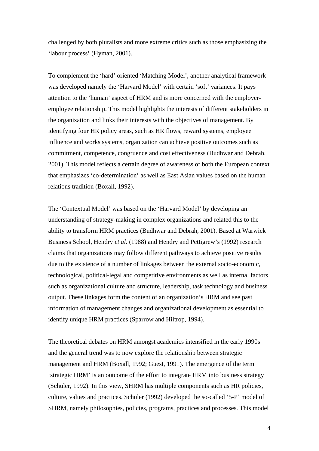challenged by both pluralists and more extreme critics such as those emphasizing the 'labour process' (Hyman, 2001).

To complement the 'hard' oriented 'Matching Model', another analytical framework was developed namely the 'Harvard Model' with certain 'soft' variances. It pays attention to the 'human' aspect of HRM and is more concerned with the employeremployee relationship. This model highlights the interests of different stakeholders in the organization and links their interests with the objectives of management. By identifying four HR policy areas, such as HR flows, reward systems, employee influence and works systems, organization can achieve positive outcomes such as commitment, competence, congruence and cost effectiveness (Budhwar and Debrah, 2001). This model reflects a certain degree of awareness of both the European context that emphasizes 'co-determination' as well as East Asian values based on the human relations tradition (Boxall, 1992).

The 'Contextual Model' was based on the 'Harvard Model' by developing an understanding of strategy-making in complex organizations and related this to the ability to transform HRM practices (Budhwar and Debrah, 2001). Based at Warwick Business School, Hendry *et al*. (1988) and Hendry and Pettigrew's (1992) research claims that organizations may follow different pathways to achieve positive results due to the existence of a number of linkages between the external socio-economic, technological, political-legal and competitive environments as well as internal factors such as organizational culture and structure, leadership, task technology and business output. These linkages form the content of an organization's HRM and see past information of management changes and organizational development as essential to identify unique HRM practices (Sparrow and Hiltrop, 1994).

The theoretical debates on HRM amongst academics intensified in the early 1990s and the general trend was to now explore the relationship between strategic management and HRM (Boxall, 1992; Guest, 1991). The emergence of the term 'strategic HRM' is an outcome of the effort to integrate HRM into business strategy (Schuler, 1992). In this view, SHRM has multiple components such as HR policies, culture, values and practices. Schuler (1992) developed the so-called '5-P' model of SHRM, namely philosophies, policies, programs, practices and processes. This model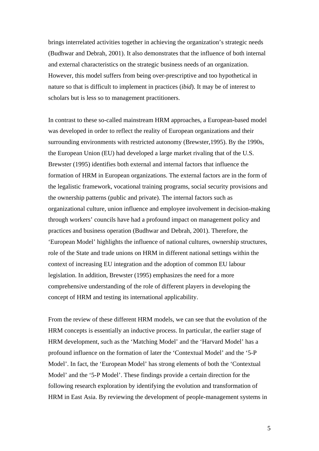brings interrelated activities together in achieving the organization's strategic needs (Budhwar and Debrah, 2001). It also demonstrates that the influence of both internal and external characteristics on the strategic business needs of an organization. However, this model suffers from being over-prescriptive and too hypothetical in nature so that is difficult to implement in practices (*ibid*). It may be of interest to scholars but is less so to management practitioners.

In contrast to these so-called mainstream HRM approaches, a European-based model was developed in order to reflect the reality of European organizations and their surrounding environments with restricted autonomy (Brewster,1995). By the 1990s, the European Union (EU) had developed a large market rivaling that of the U.S. Brewster (1995) identifies both external and internal factors that influence the formation of HRM in European organizations. The external factors are in the form of the legalistic framework, vocational training programs, social security provisions and the ownership patterns (public and private). The internal factors such as organizational culture, union influence and employee involvement in decision-making through workers' councils have had a profound impact on management policy and practices and business operation (Budhwar and Debrah, 2001). Therefore, the 'European Model' highlights the influence of national cultures, ownership structures, role of the State and trade unions on HRM in different national settings within the context of increasing EU integration and the adoption of common EU labour legislation. In addition, Brewster (1995) emphasizes the need for a more comprehensive understanding of the role of different players in developing the concept of HRM and testing its international applicability.

From the review of these different HRM models, we can see that the evolution of the HRM concepts is essentially an inductive process. In particular, the earlier stage of HRM development, such as the 'Matching Model' and the 'Harvard Model' has a profound influence on the formation of later the 'Contextual Model' and the '5-P Model'. In fact, the 'European Model' has strong elements of both the 'Contextual Model' and the '5-P Model'. These findings provide a certain direction for the following research exploration by identifying the evolution and transformation of HRM in East Asia. By reviewing the development of people-management systems in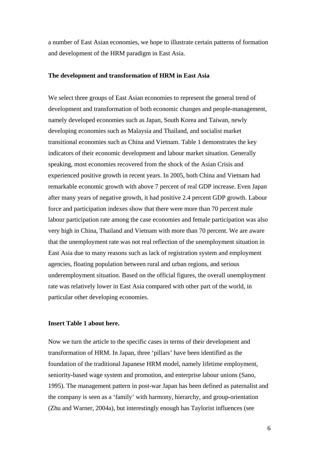a number of East Asian economies, we hope to illustrate certain patterns of formation and development of the HRM paradigm in East Asia.

#### **The development and transformation of HRM in East Asia**

We select three groups of East Asian economies to represent the general trend of development and transformation of both economic changes and people-management, namely developed economies such as Japan, South Korea and Taiwan, newly developing economies such as Malaysia and Thailand, and socialist market transitional economies such as China and Vietnam. Table 1 demonstrates the key indicators of their economic development and labour market situation. Generally speaking, most economies recovered from the shock of the Asian Crisis and experienced positive growth in recent years. In 2005, both China and Vietnam had remarkable economic growth with above 7 percent of real GDP increase. Even Japan after many years of negative growth, it had positive 2.4 percent GDP growth. Labour force and participation indexes show that there were more than 70 percent male labour participation rate among the case economies and female participation was also very high in China, Thailand and Vietnam with more than 70 percent. We are aware that the unemployment rate was not real reflection of the unemployment situation in East Asia due to many reasons such as lack of registration system and employment agencies, floating population between rural and urban regions, and serious underemployment situation. Based on the official figures, the overall unemployment rate was relatively lower in East Asia compared with other part of the world, in particular other developing economies.

#### **Insert Table 1 about here.**

Now we turn the article to the specific cases in terms of their development and transformation of HRM. In Japan, three 'pillars' have been identified as the foundation of the traditional Japanese HRM model, namely lifetime employment, seniority-based wage system and promotion, and enterprise labour unions (Sano, 1995). The management pattern in post-war Japan has been defined as paternalist and the company is seen as a 'family' with harmony, hierarchy, and group-orientation (Zhu and Warner, 2004a), but interestingly enough has Taylorist influences (see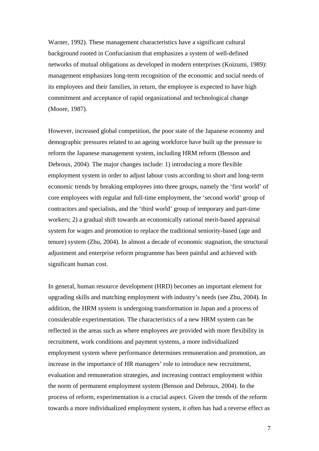Warner, 1992). These management characteristics have a significant cultural background rooted in Confucianism that emphasizes a system of well-defined networks of mutual obligations as developed in modern enterprises (Koizumi, 1989): management emphasizes long-term recognition of the economic and social needs of its employees and their families, in return, the employee is expected to have high commitment and acceptance of rapid organizational and technological change (Moore, 1987).

However, increased global competition, the poor state of the Japanese economy and demographic pressures related to an ageing workforce have built up the pressure to reform the Japanese management system, including HRM reform (Benson and Debroux, 2004). The major changes include: 1) introducing a more flexible employment system in order to adjust labour costs according to short and long-term economic trends by breaking employees into three groups, namely the 'first world' of core employees with regular and full-time employment, the 'second world' group of contractors and specialists, and the 'third world' group of temporary and part-time workers; 2) a gradual shift towards an economically rational merit-based appraisal system for wages and promotion to replace the traditional seniority-based (age and tenure) system (Zhu, 2004). In almost a decade of economic stagnation, the structural adjustment and enterprise reform programme has been painful and achieved with significant human cost.

In general, human resource development (HRD) becomes an important element for upgrading skills and matching employment with industry's needs (see Zhu, 2004). In addition, the HRM system is undergoing transformation in Japan and a process of considerable experimentation. The characteristics of a new HRM system can be reflected in the areas such as where employees are provided with more flexibility in recruitment, work conditions and payment systems, a more individualized employment system where performance determines remuneration and promotion, an increase in the importance of HR managers' role to introduce new recruitment, evaluation and remuneration strategies, and increasing contract employment within the norm of permanent employment system (Benson and Debroux, 2004). In the process of reform, experimentation is a crucial aspect. Given the trends of the reform towards a more individualized employment system, it often has had a reverse effect as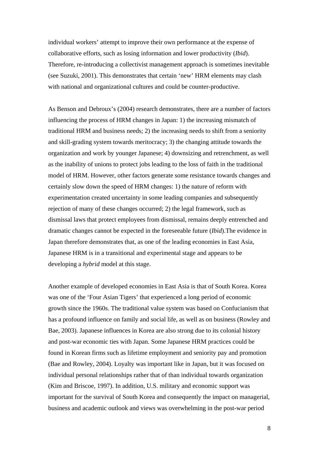individual workers' attempt to improve their own performance at the expense of collaborative efforts, such as losing information and lower productivity (*Ibid*). Therefore, re-introducing a collectivist management approach is sometimes inevitable (see Suzuki, 2001). This demonstrates that certain 'new' HRM elements may clash with national and organizational cultures and could be counter-productive.

As Benson and Debroux's (2004) research demonstrates, there are a number of factors influencing the process of HRM changes in Japan: 1) the increasing mismatch of traditional HRM and business needs; 2) the increasing needs to shift from a seniority and skill-grading system towards meritocracy; 3) the changing attitude towards the organization and work by younger Japanese; 4) downsizing and retrenchment, as well as the inability of unions to protect jobs leading to the loss of faith in the traditional model of HRM. However, other factors generate some resistance towards changes and certainly slow down the speed of HRM changes: 1) the nature of reform with experimentation created uncertainty in some leading companies and subsequently rejection of many of these changes occurred; 2) the legal framework, such as dismissal laws that protect employees from dismissal, remains deeply entrenched and dramatic changes cannot be expected in the foreseeable future (*Ibid*).The evidence in Japan therefore demonstrates that, as one of the leading economies in East Asia, Japanese HRM is in a transitional and experimental stage and appears to be developing a *hybrid* model at this stage.

Another example of developed economies in East Asia is that of South Korea. Korea was one of the 'Four Asian Tigers' that experienced a long period of economic growth since the 1960s. The traditional value system was based on Confucianism that has a profound influence on family and social life, as well as on business (Rowley and Bae, 2003). Japanese influences in Korea are also strong due to its colonial history and post-war economic ties with Japan. Some Japanese HRM practices could be found in Korean firms such as lifetime employment and seniority pay and promotion (Bae and Rowley, 2004). Loyalty was important like in Japan, but it was focused on individual personal relationships rather that of than individual towards organization (Kim and Briscoe, 1997). In addition, U.S. military and economic support was important for the survival of South Korea and consequently the impact on managerial, business and academic outlook and views was overwhelming in the post-war period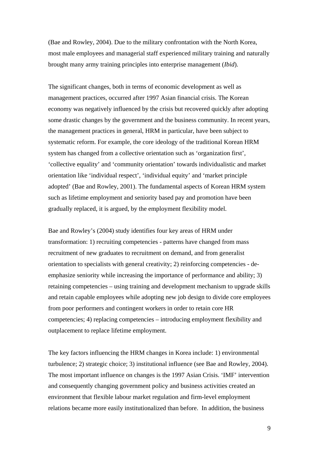(Bae and Rowley, 2004). Due to the military confrontation with the North Korea, most male employees and managerial staff experienced military training and naturally brought many army training principles into enterprise management (*Ibid*).

The significant changes, both in terms of economic development as well as management practices, occurred after 1997 Asian financial crisis. The Korean economy was negatively influenced by the crisis but recovered quickly after adopting some drastic changes by the government and the business community. In recent years, the management practices in general, HRM in particular, have been subject to systematic reform. For example, the core ideology of the traditional Korean HRM system has changed from a collective orientation such as 'organization first', 'collective equality' and 'community orientation' towards individualistic and market orientation like 'individual respect', 'individual equity' and 'market principle adopted' (Bae and Rowley, 2001). The fundamental aspects of Korean HRM system such as lifetime employment and seniority based pay and promotion have been gradually replaced, it is argued, by the employment flexibility model.

Bae and Rowley's (2004) study identifies four key areas of HRM under transformation: 1) recruiting competencies - patterns have changed from mass recruitment of new graduates to recruitment on demand, and from generalist orientation to specialists with general creativity; 2) reinforcing competencies - deemphasize seniority while increasing the importance of performance and ability; 3) retaining competencies – using training and development mechanism to upgrade skills and retain capable employees while adopting new job design to divide core employees from poor performers and contingent workers in order to retain core HR competencies; 4) replacing competencies – introducing employment flexibility and outplacement to replace lifetime employment.

The key factors influencing the HRM changes in Korea include: 1) environmental turbulence; 2) strategic choice; 3) institutional influence (see Bae and Rowley, 2004). The most important influence on changes is the 1997 Asian Crisis. 'IMF' intervention and consequently changing government policy and business activities created an environment that flexible labour market regulation and firm-level employment relations became more easily institutionalized than before. In addition, the business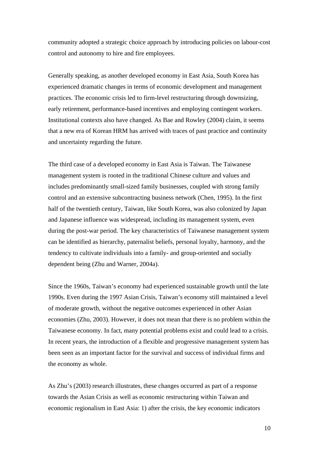community adopted a strategic choice approach by introducing policies on labour-cost control and autonomy to hire and fire employees.

Generally speaking, as another developed economy in East Asia, South Korea has experienced dramatic changes in terms of economic development and management practices. The economic crisis led to firm-level restructuring through downsizing, early retirement, performance-based incentives and employing contingent workers. Institutional contexts also have changed. As Bae and Rowley (2004) claim, it seems that a new era of Korean HRM has arrived with traces of past practice and continuity and uncertainty regarding the future.

The third case of a developed economy in East Asia is Taiwan. The Taiwanese management system is rooted in the traditional Chinese culture and values and includes predominantly small-sized family businesses, coupled with strong family control and an extensive subcontracting business network (Chen, 1995). In the first half of the twentieth century, Taiwan, like South Korea, was also colonized by Japan and Japanese influence was widespread, including its management system, even during the post-war period. The key characteristics of Taiwanese management system can be identified as hierarchy, paternalist beliefs, personal loyalty, harmony, and the tendency to cultivate individuals into a family- and group-oriented and socially dependent being (Zhu and Warner, 2004a).

Since the 1960s, Taiwan's economy had experienced sustainable growth until the late 1990s. Even during the 1997 Asian Crisis, Taiwan's economy still maintained a level of moderate growth, without the negative outcomes experienced in other Asian economies (Zhu, 2003). However, it does not mean that there is no problem within the Taiwanese economy. In fact, many potential problems exist and could lead to a crisis. In recent years, the introduction of a flexible and progressive management system has been seen as an important factor for the survival and success of individual firms and the economy as whole.

As Zhu's (2003) research illustrates, these changes occurred as part of a response towards the Asian Crisis as well as economic restructuring within Taiwan and economic regionalism in East Asia: 1) after the crisis, the key economic indicators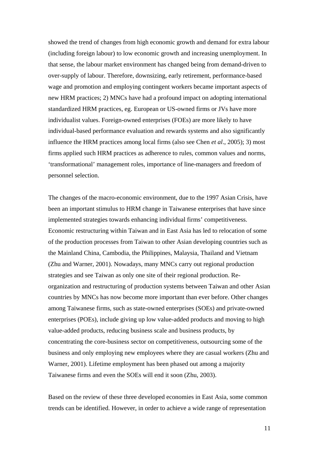showed the trend of changes from high economic growth and demand for extra labour (including foreign labour) to low economic growth and increasing unemployment. In that sense, the labour market environment has changed being from demand-driven to over-supply of labour. Therefore, downsizing, early retirement, performance-based wage and promotion and employing contingent workers became important aspects of new HRM practices; 2) MNCs have had a profound impact on adopting international standardized HRM practices, eg. European or US-owned firms or JVs have more individualist values. Foreign-owned enterprises (FOEs) are more likely to have individual-based performance evaluation and rewards systems and also significantly influence the HRM practices among local firms (also see Chen *et al*., 2005); 3) most firms applied such HRM practices as adherence to rules, common values and norms, 'transformational' management roles, importance of line-managers and freedom of personnel selection.

The changes of the macro-economic environment, due to the 1997 Asian Crisis, have been an important stimulus to HRM change in Taiwanese enterprises that have since implemented strategies towards enhancing individual firms' competitiveness. Economic restructuring within Taiwan and in East Asia has led to relocation of some of the production processes from Taiwan to other Asian developing countries such as the Mainland China, Cambodia, the Philippines, Malaysia, Thailand and Vietnam (Zhu and Warner, 2001). Nowadays, many MNCs carry out regional production strategies and see Taiwan as only one site of their regional production. Reorganization and restructuring of production systems between Taiwan and other Asian countries by MNCs has now become more important than ever before. Other changes among Taiwanese firms, such as state-owned enterprises (SOEs) and private-owned enterprises (POEs), include giving up low value-added products and moving to high value-added products, reducing business scale and business products, by concentrating the core-business sector on competitiveness, outsourcing some of the business and only employing new employees where they are casual workers (Zhu and Warner, 2001). Lifetime employment has been phased out among a majority Taiwanese firms and even the SOEs will end it soon (Zhu, 2003).

Based on the review of these three developed economies in East Asia, some common trends can be identified. However, in order to achieve a wide range of representation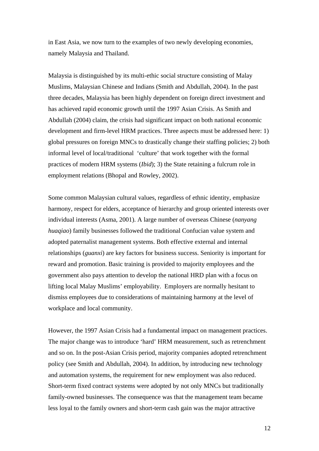in East Asia, we now turn to the examples of two newly developing economies, namely Malaysia and Thailand.

Malaysia is distinguished by its multi-ethic social structure consisting of Malay Muslims, Malaysian Chinese and Indians (Smith and Abdullah, 2004). In the past three decades, Malaysia has been highly dependent on foreign direct investment and has achieved rapid economic growth until the 1997 Asian Crisis. As Smith and Abdullah (2004) claim, the crisis had significant impact on both national economic development and firm-level HRM practices. Three aspects must be addressed here: 1) global pressures on foreign MNCs to drastically change their staffing policies; 2) both informal level of local/traditional 'culture' that work together with the formal practices of modern HRM systems (*Ibid*); 3) the State retaining a fulcrum role in employment relations (Bhopal and Rowley, 2002).

Some common Malaysian cultural values, regardless of ethnic identity, emphasize harmony, respect for elders, acceptance of hierarchy and group oriented interests over individual interests (Asma, 2001). A large number of overseas Chinese (*nanyang huaqiao*) family businesses followed the traditional Confucian value system and adopted paternalist management systems. Both effective external and internal relationships (*guanxi*) are key factors for business success. Seniority is important for reward and promotion. Basic training is provided to majority employees and the government also pays attention to develop the national HRD plan with a focus on lifting local Malay Muslims' employability. Employers are normally hesitant to dismiss employees due to considerations of maintaining harmony at the level of workplace and local community.

However, the 1997 Asian Crisis had a fundamental impact on management practices. The major change was to introduce 'hard' HRM measurement, such as retrenchment and so on. In the post-Asian Crisis period, majority companies adopted retrenchment policy (see Smith and Abdullah, 2004). In addition, by introducing new technology and automation systems, the requirement for new employment was also reduced. Short-term fixed contract systems were adopted by not only MNCs but traditionally family-owned businesses. The consequence was that the management team became less loyal to the family owners and short-term cash gain was the major attractive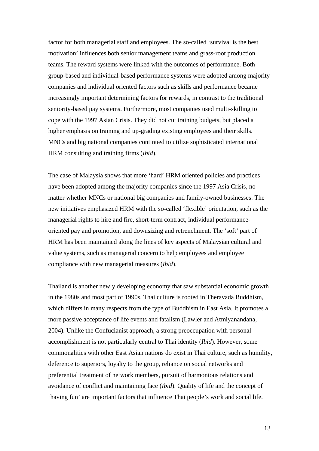factor for both managerial staff and employees. The so-called 'survival is the best motivation' influences both senior management teams and grass-root production teams. The reward systems were linked with the outcomes of performance. Both group-based and individual-based performance systems were adopted among majority companies and individual oriented factors such as skills and performance became increasingly important determining factors for rewards, in contrast to the traditional seniority-based pay systems. Furthermore, most companies used multi-skilling to cope with the 1997 Asian Crisis. They did not cut training budgets, but placed a higher emphasis on training and up-grading existing employees and their skills. MNCs and big national companies continued to utilize sophisticated international HRM consulting and training firms (*Ibid*).

The case of Malaysia shows that more 'hard' HRM oriented policies and practices have been adopted among the majority companies since the 1997 Asia Crisis, no matter whether MNCs or national big companies and family-owned businesses. The new initiatives emphasized HRM with the so-called 'flexible' orientation, such as the managerial rights to hire and fire, short-term contract, individual performanceoriented pay and promotion, and downsizing and retrenchment. The 'soft' part of HRM has been maintained along the lines of key aspects of Malaysian cultural and value systems, such as managerial concern to help employees and employee compliance with new managerial measures (*Ibid*).

Thailand is another newly developing economy that saw substantial economic growth in the 1980s and most part of 1990s. Thai culture is rooted in Theravada Buddhism, which differs in many respects from the type of Buddhism in East Asia. It promotes a more passive acceptance of life events and fatalism (Lawler and Atmiyanandana, 2004). Unlike the Confucianist approach, a strong preoccupation with personal accomplishment is not particularly central to Thai identity (*Ibid*). However, some commonalities with other East Asian nations do exist in Thai culture, such as humility, deference to superiors, loyalty to the group, reliance on social networks and preferential treatment of network members, pursuit of harmonious relations and avoidance of conflict and maintaining face (*Ibid*). Quality of life and the concept of 'having fun' are important factors that influence Thai people's work and social life.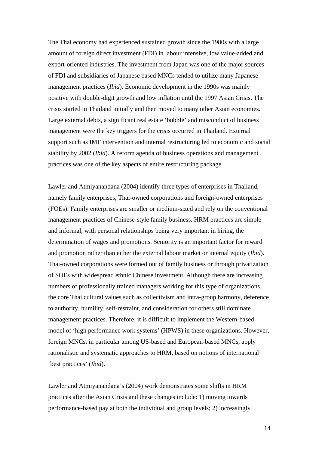The Thai economy had experienced sustained growth since the 1980s with a large amount of foreign direct investment (FDI) in labour intensive, low value-added and export-oriented industries. The investment from Japan was one of the major sources of FDI and subsidiaries of Japanese based MNCs tended to utilize many Japanese management practices (*Ibid*). Economic development in the 1990s was mainly positive with double-digit growth and low inflation until the 1997 Asian Crisis. The crisis started in Thailand initially and then moved to many other Asian economies. Large external debts, a significant real estate 'bubble' and misconduct of business management were the key triggers for the crisis occurred in Thailand. External support such as IMF intervention and internal restructuring led to economic and social stability by 2002 (*Ibid*). A reform agenda of business operations and management practices was one of the key aspects of entire restructuring package.

Lawler and Atmiyanandana (2004) identify three types of enterprises in Thailand, namely family enterprises, Thai-owned corporations and foreign-owned enterprises (FOEs). Family enterprises are smaller or medium-sized and rely on the conventional management practices of Chinese-style family business. HRM practices are simple and informal, with personal relationships being very important in hiring, the determination of wages and promotions. Seniority is an important factor for reward and promotion rather than either the external labour market or internal equity (*Ibid*). Thai-owned corporations were formed out of family business or through privatization of SOEs with widespread ethnic Chinese investment. Although there are increasing numbers of professionally trained managers working for this type of organizations, the core Thai cultural values such as collectivism and intra-group harmony, deference to authority, humility, self-restraint, and consideration for others still dominate management practices. Therefore, it is difficult to implement the Western-based model of 'high performance work systems' (HPWS) in these organizations. However, foreign MNCs, in particular among US-based and European-based MNCs, apply rationalistic and systematic approaches to HRM, based on notions of international 'best practices' (*Ibid*).

Lawler and Atmiyanandana's (2004) work demonstrates some shifts in HRM practices after the Asian Crisis and these changes include: 1) moving towards performance-based pay at both the individual and group levels; 2) increasingly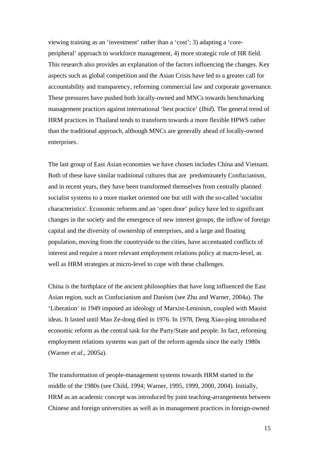viewing training as an 'investment' rather than a 'cost'; 3) adapting a 'coreperipheral' approach to workforce management, 4) more strategic role of HR field. This research also provides an explanation of the factors influencing the changes. Key aspects such as global competition and the Asian Crisis have led to a greater call for accountability and transparency, reforming commercial law and corporate governance. These pressures have pushed both locally-owned and MNCs towards benchmarking management practices against international 'best practice' (*Ibid*). The general trend of HRM practices in Thailand tends to transform towards a more flexible HPWS rather than the traditional approach, although MNCs are generally ahead of locally-owned enterprises.

The last group of East Asian economies we have chosen includes China and Vietnam. Both of these have similar traditional cultures that are predominately Confucianism, and in recent years, they have been transformed themselves from centrally planned socialist systems to a more market oriented one but still with the so-called 'socialist characteristics'. Economic reforms and an 'open door' policy have led to significant changes in the society and the emergence of new interest groups, the inflow of foreign capital and the diversity of ownership of enterprises, and a large and floating population, moving from the countryside to the cities, have accentuated conflicts of interest and require a more relevant employment relations policy at macro-level, as well as HRM strategies at micro-level to cope with these challenges.

China is the birthplace of the ancient philosophies that have long influenced the East Asian region, such as Confucianism and Daoism (see Zhu and Warner, 2004a). The 'Liberation' in 1949 imposed an ideology of Marxist-Leninism, coupled with Maoist ideas. It lasted until Mao Ze-dong died in 1976. In 1978, Deng Xiao-ping introduced economic reform as the central task for the Party/State and people. In fact, reforming employment relations systems was part of the reform agenda since the early 1980s (Warner *et al*., 2005a).

The transformation of people-management systems towards HRM started in the middle of the 1980s (see Child, 1994; Warner, 1995, 1999, 2000, 2004). Initially, HRM as an academic concept was introduced by joint teaching-arrangements between Chinese and foreign universities as well as in management practices in foreign-owned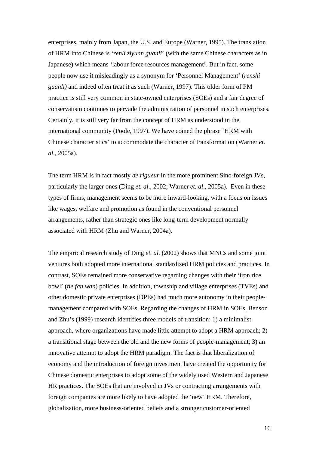enterprises, mainly from Japan, the U.S. and Europe (Warner, 1995). The translation of HRM into Chinese is '*renli ziyuan guanli*' (with the same Chinese characters as in Japanese) which means 'labour force resources management'. But in fact, some people now use it misleadingly as a synonym for 'Personnel Management' (*renshi guanli)* and indeed often treat it as such (Warner, 1997). This older form of PM practice is still very common in state-owned enterprises (SOEs) and a fair degree of conservatism continues to pervade the administration of personnel in such enterprises. Certainly, it is still very far from the concept of HRM as understood in the international community (Poole, 1997). We have coined the phrase 'HRM with Chinese characteristics' to accommodate the character of transformation (Warner *et. al*., 2005a).

The term HRM is in fact mostly *de rigueur* in the more prominent Sino-foreign JVs, particularly the larger ones (Ding *et. al*., 2002; Warner *et. al*., 2005a). Even in these types of firms, management seems to be more inward-looking, with a focus on issues like wages, welfare and promotion as found in the conventional personnel arrangements, rather than strategic ones like long-term development normally associated with HRM (Zhu and Warner, 2004a).

The empirical research study of Ding *et. al.* (2002) shows that MNCs and some joint ventures both adopted more international standardized HRM policies and practices. In contrast, SOEs remained more conservative regarding changes with their 'iron rice bowl' (*tie fan wan*) policies. In addition, township and village enterprises (TVEs) and other domestic private enterprises (DPEs) had much more autonomy in their peoplemanagement compared with SOEs. Regarding the changes of HRM in SOEs, Benson and Zhu's (1999) research identifies three models of transition: 1) a minimalist approach, where organizations have made little attempt to adopt a HRM approach; 2) a transitional stage between the old and the new forms of people-management; 3) an innovative attempt to adopt the HRM paradigm. The fact is that liberalization of economy and the introduction of foreign investment have created the opportunity for Chinese domestic enterprises to adopt some of the widely used Western and Japanese HR practices. The SOEs that are involved in JVs or contracting arrangements with foreign companies are more likely to have adopted the 'new' HRM. Therefore, globalization, more business-oriented beliefs and a stronger customer-oriented

16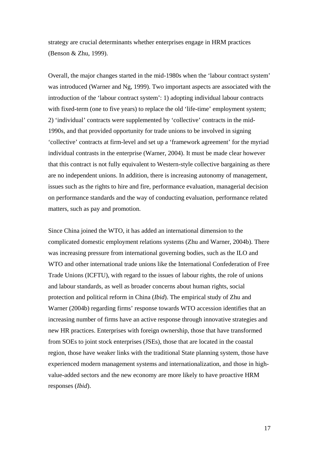strategy are crucial determinants whether enterprises engage in HRM practices (Benson & Zhu, 1999).

Overall, the major changes started in the mid-1980s when the 'labour contract system' was introduced (Warner and Ng, 1999). Two important aspects are associated with the introduction of the 'labour contract system': 1) adopting individual labour contracts with fixed-term (one to five years) to replace the old 'life-time' employment system; 2) 'individual' contracts were supplemented by 'collective' contracts in the mid-1990s, and that provided opportunity for trade unions to be involved in signing 'collective' contracts at firm-level and set up a 'framework agreement' for the myriad individual contrasts in the enterprise (Warner, 2004). It must be made clear however that this contract is not fully equivalent to Western-style collective bargaining as there are no independent unions. In addition, there is increasing autonomy of management, issues such as the rights to hire and fire, performance evaluation, managerial decision on performance standards and the way of conducting evaluation, performance related matters, such as pay and promotion.

Since China joined the WTO, it has added an international dimension to the complicated domestic employment relations systems (Zhu and Warner, 2004b). There was increasing pressure from international governing bodies, such as the ILO and WTO and other international trade unions like the International Confederation of Free Trade Unions (ICFTU), with regard to the issues of labour rights, the role of unions and labour standards, as well as broader concerns about human rights, social protection and political reform in China (*Ibid*). The empirical study of Zhu and Warner (2004b) regarding firms' response towards WTO accession identifies that an increasing number of firms have an active response through innovative strategies and new HR practices. Enterprises with foreign ownership, those that have transformed from SOEs to joint stock enterprises (JSEs), those that are located in the coastal region, those have weaker links with the traditional State planning system, those have experienced modern management systems and internationalization, and those in highvalue-added sectors and the new economy are more likely to have proactive HRM responses (*Ibid*).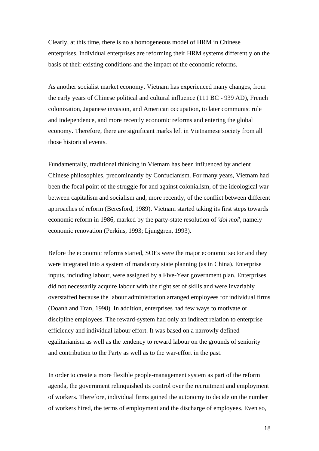Clearly, at this time, there is no a homogeneous model of HRM in Chinese enterprises. Individual enterprises are reforming their HRM systems differently on the basis of their existing conditions and the impact of the economic reforms.

As another socialist market economy, Vietnam has experienced many changes, from the early years of Chinese political and cultural influence (111 BC - 939 AD), French colonization, Japanese invasion, and American occupation, to later communist rule and independence, and more recently economic reforms and entering the global economy. Therefore, there are significant marks left in Vietnamese society from all those historical events.

Fundamentally, traditional thinking in Vietnam has been influenced by ancient Chinese philosophies, predominantly by Confucianism. For many years, Vietnam had been the focal point of the struggle for and against colonialism, of the ideological war between capitalism and socialism and, more recently, of the conflict between different approaches of reform (Beresford, 1989). Vietnam started taking its first steps towards economic reform in 1986, marked by the party-state resolution of *'doi moi*', namely economic renovation (Perkins, 1993; Ljunggren, 1993).

Before the economic reforms started, SOEs were the major economic sector and they were integrated into a system of mandatory state planning (as in China). Enterprise inputs, including labour, were assigned by a Five-Year government plan. Enterprises did not necessarily acquire labour with the right set of skills and were invariably overstaffed because the labour administration arranged employees for individual firms (Doanh and Tran, 1998). In addition, enterprises had few ways to motivate or discipline employees. The reward-system had only an indirect relation to enterprise efficiency and individual labour effort. It was based on a narrowly defined egalitarianism as well as the tendency to reward labour on the grounds of seniority and contribution to the Party as well as to the war-effort in the past.

In order to create a more flexible people-management system as part of the reform agenda, the government relinquished its control over the recruitment and employment of workers. Therefore, individual firms gained the autonomy to decide on the number of workers hired, the terms of employment and the discharge of employees. Even so,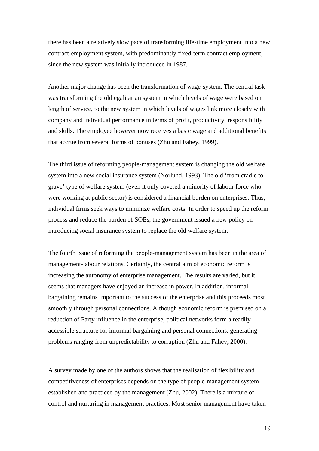there has been a relatively slow pace of transforming life-time employment into a new contract-employment system, with predominantly fixed-term contract employment, since the new system was initially introduced in 1987.

Another major change has been the transformation of wage-system. The central task was transforming the old egalitarian system in which levels of wage were based on length of service, to the new system in which levels of wages link more closely with company and individual performance in terms of profit, productivity, responsibility and skills. The employee however now receives a basic wage and additional benefits that accrue from several forms of bonuses (Zhu and Fahey, 1999).

The third issue of reforming people-management system is changing the old welfare system into a new social insurance system (Norlund, 1993). The old 'from cradle to grave' type of welfare system (even it only covered a minority of labour force who were working at public sector) is considered a financial burden on enterprises. Thus, individual firms seek ways to minimize welfare costs. In order to speed up the reform process and reduce the burden of SOEs, the government issued a new policy on introducing social insurance system to replace the old welfare system.

The fourth issue of reforming the people-management system has been in the area of management-labour relations. Certainly, the central aim of economic reform is increasing the autonomy of enterprise management. The results are varied, but it seems that managers have enjoyed an increase in power. In addition, informal bargaining remains important to the success of the enterprise and this proceeds most smoothly through personal connections. Although economic reform is premised on a reduction of Party influence in the enterprise, political networks form a readily accessible structure for informal bargaining and personal connections, generating problems ranging from unpredictability to corruption (Zhu and Fahey, 2000).

A survey made by one of the authors shows that the realisation of flexibility and competitiveness of enterprises depends on the type of people-management system established and practiced by the management (Zhu, 2002). There is a mixture of control and nurturing in management practices. Most senior management have taken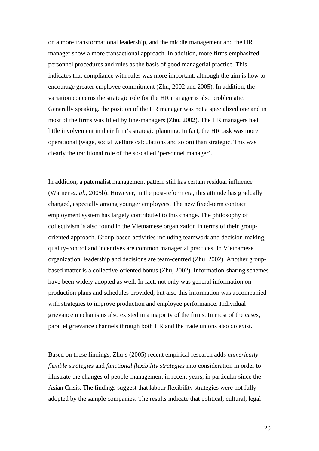on a more transformational leadership, and the middle management and the HR manager show a more transactional approach. In addition, more firms emphasized personnel procedures and rules as the basis of good managerial practice. This indicates that compliance with rules was more important, although the aim is how to encourage greater employee commitment (Zhu, 2002 and 2005). In addition, the variation concerns the strategic role for the HR manager is also problematic. Generally speaking, the position of the HR manager was not a specialized one and in most of the firms was filled by line-managers (Zhu, 2002). The HR managers had little involvement in their firm's strategic planning. In fact, the HR task was more operational (wage, social welfare calculations and so on) than strategic. This was clearly the traditional role of the so-called 'personnel manager'.

In addition, a paternalist management pattern still has certain residual influence (Warner *et. al*., 2005b). However, in the post-reform era, this attitude has gradually changed, especially among younger employees. The new fixed-term contract employment system has largely contributed to this change. The philosophy of collectivism is also found in the Vietnamese organization in terms of their grouporiented approach. Group-based activities including teamwork and decision-making, quality-control and incentives are common managerial practices. In Vietnamese organization, leadership and decisions are team-centred (Zhu, 2002). Another groupbased matter is a collective-oriented bonus (Zhu, 2002). Information-sharing schemes have been widely adopted as well. In fact, not only was general information on production plans and schedules provided, but also this information was accompanied with strategies to improve production and employee performance. Individual grievance mechanisms also existed in a majority of the firms. In most of the cases, parallel grievance channels through both HR and the trade unions also do exist.

Based on these findings, Zhu's (2005) recent empirical research adds *numerically flexible strategies* and *functional flexibility strategies* into consideration in order to illustrate the changes of people-management in recent years, in particular since the Asian Crisis. The findings suggest that labour flexibility strategies were not fully adopted by the sample companies. The results indicate that political, cultural, legal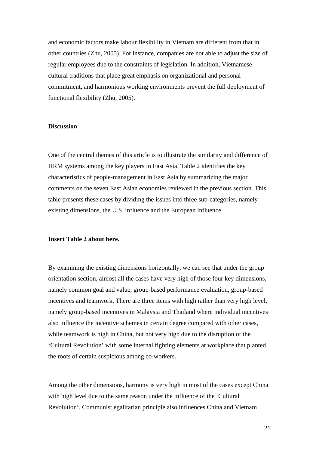and economic factors make labour flexibility in Vietnam are different from that in other countries (Zhu, 2005). For instance, companies are not able to adjust the size of regular employees due to the constraints of legislation. In addition, Vietnamese cultural traditions that place great emphasis on organizational and personal commitment, and harmonious working environments prevent the full deployment of functional flexibility (Zhu, 2005).

#### **Discussion**

One of the central themes of this article is to illustrate the similarity and difference of HRM systems among the key players in East Asia. Table 2 identifies the key characteristics of people-management in East Asia by summarizing the major comments on the seven East Asian economies reviewed in the previous section. This table presents these cases by dividing the issues into three sub-categories, namely existing dimensions, the U.S. influence and the European influence.

#### **Insert Table 2 about here.**

By examining the existing dimensions horizontally, we can see that under the group orientation section, almost all the cases have very high of those four key dimensions, namely common goal and value, group-based performance evaluation, group-based incentives and teamwork. There are three items with high rather than very high level, namely group-based incentives in Malaysia and Thailand where individual incentives also influence the incentive schemes in certain degree compared with other cases, while teamwork is high in China, but not very high due to the disruption of the 'Cultural Revolution' with some internal fighting elements at workplace that planted the roots of certain suspicious among co-workers.

Among the other dimensions, harmony is very high in most of the cases except China with high level due to the same reason under the influence of the 'Cultural Revolution'. Communist egalitarian principle also influences China and Vietnam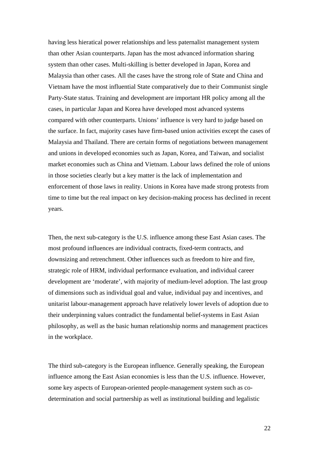having less hieratical power relationships and less paternalist management system than other Asian counterparts. Japan has the most advanced information sharing system than other cases. Multi-skilling is better developed in Japan, Korea and Malaysia than other cases. All the cases have the strong role of State and China and Vietnam have the most influential State comparatively due to their Communist single Party-State status. Training and development are important HR policy among all the cases, in particular Japan and Korea have developed most advanced systems compared with other counterparts. Unions' influence is very hard to judge based on the surface. In fact, majority cases have firm-based union activities except the cases of Malaysia and Thailand. There are certain forms of negotiations between management and unions in developed economies such as Japan, Korea, and Taiwan, and socialist market economies such as China and Vietnam. Labour laws defined the role of unions in those societies clearly but a key matter is the lack of implementation and enforcement of those laws in reality. Unions in Korea have made strong protests from time to time but the real impact on key decision-making process has declined in recent years.

Then, the next sub-category is the U.S. influence among these East Asian cases. The most profound influences are individual contracts, fixed-term contracts, and downsizing and retrenchment. Other influences such as freedom to hire and fire, strategic role of HRM, individual performance evaluation, and individual career development are 'moderate', with majority of medium-level adoption. The last group of dimensions such as individual goal and value, individual pay and incentives, and unitarist labour-management approach have relatively lower levels of adoption due to their underpinning values contradict the fundamental belief-systems in East Asian philosophy, as well as the basic human relationship norms and management practices in the workplace.

The third sub-category is the European influence. Generally speaking, the European influence among the East Asian economies is less than the U.S. influence. However, some key aspects of European-oriented people-management system such as codetermination and social partnership as well as institutional building and legalistic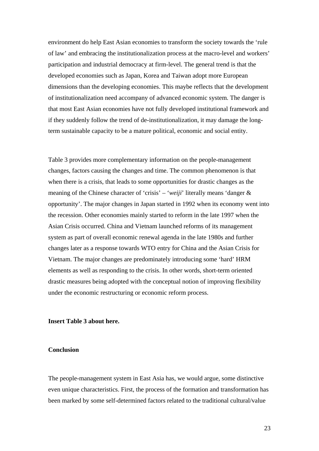environment do help East Asian economies to transform the society towards the 'rule of law' and embracing the institutionalization process at the macro-level and workers' participation and industrial democracy at firm-level. The general trend is that the developed economies such as Japan, Korea and Taiwan adopt more European dimensions than the developing economies. This maybe reflects that the development of institutionalization need accompany of advanced economic system. The danger is that most East Asian economies have not fully developed institutional framework and if they suddenly follow the trend of de-institutionalization, it may damage the longterm sustainable capacity to be a mature political, economic and social entity.

Table 3 provides more complementary information on the people-management changes, factors causing the changes and time. The common phenomenon is that when there is a crisis, that leads to some opportunities for drastic changes as the meaning of the Chinese character of 'crisis' – '*weiji*' literally means 'danger & opportunity'. The major changes in Japan started in 1992 when its economy went into the recession. Other economies mainly started to reform in the late 1997 when the Asian Crisis occurred. China and Vietnam launched reforms of its management system as part of overall economic renewal agenda in the late 1980s and further changes later as a response towards WTO entry for China and the Asian Crisis for Vietnam. The major changes are predominately introducing some 'hard' HRM elements as well as responding to the crisis. In other words, short-term oriented drastic measures being adopted with the conceptual notion of improving flexibility under the economic restructuring or economic reform process.

### **Insert Table 3 about here.**

#### **Conclusion**

The people-management system in East Asia has, we would argue, some distinctive even unique characteristics. First, the process of the formation and transformation has been marked by some self-determined factors related to the traditional cultural/value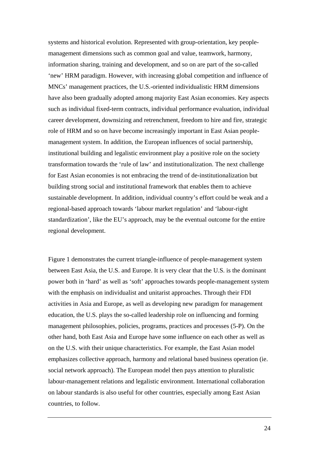systems and historical evolution. Represented with group-orientation, key peoplemanagement dimensions such as common goal and value, teamwork, harmony, information sharing, training and development, and so on are part of the so-called 'new' HRM paradigm. However, with increasing global competition and influence of MNCs' management practices, the U.S.-oriented individualistic HRM dimensions have also been gradually adopted among majority East Asian economies. Key aspects such as individual fixed-term contracts, individual performance evaluation, individual career development, downsizing and retrenchment, freedom to hire and fire, strategic role of HRM and so on have become increasingly important in East Asian peoplemanagement system. In addition, the European influences of social partnership, institutional building and legalistic environment play a positive role on the society transformation towards the 'rule of law' and institutionalization. The next challenge for East Asian economies is not embracing the trend of de-institutionalization but building strong social and institutional framework that enables them to achieve sustainable development. In addition, individual country's effort could be weak and a regional-based approach towards 'labour market regulation' and 'labour-right standardization', like the EU's approach, may be the eventual outcome for the entire regional development.

Figure 1 demonstrates the current triangle-influence of people-management system between East Asia, the U.S. and Europe. It is very clear that the U.S. is the dominant power both in 'hard' as well as 'soft' approaches towards people-management system with the emphasis on individualist and unitarist approaches. Through their FDI activities in Asia and Europe, as well as developing new paradigm for management education, the U.S. plays the so-called leadership role on influencing and forming management philosophies, policies, programs, practices and processes (5-P). On the other hand, both East Asia and Europe have some influence on each other as well as on the U.S. with their unique characteristics. For example, the East Asian model emphasizes collective approach, harmony and relational based business operation (ie. social network approach). The European model then pays attention to pluralistic labour-management relations and legalistic environment. International collaboration on labour standards is also useful for other countries, especially among East Asian countries, to follow.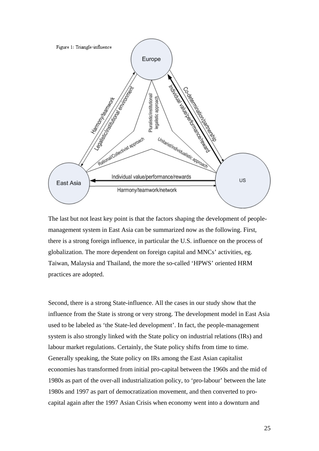

The last but not least key point is that the factors shaping the development of peoplemanagement system in East Asia can be summarized now as the following. First, there is a strong foreign influence, in particular the U.S. influence on the process of globalization. The more dependent on foreign capital and MNCs' activities, eg. Taiwan, Malaysia and Thailand, the more the so-called 'HPWS' oriented HRM practices are adopted.

Second, there is a strong State-influence. All the cases in our study show that the influence from the State is strong or very strong. The development model in East Asia used to be labeled as 'the State-led development'. In fact, the people-management system is also strongly linked with the State policy on industrial relations (IRs) and labour market regulations. Certainly, the State policy shifts from time to time. Generally speaking, the State policy on IRs among the East Asian capitalist economies has transformed from initial pro-capital between the 1960s and the mid of 1980s as part of the over-all industrialization policy, to 'pro-labour' between the late 1980s and 1997 as part of democratization movement, and then converted to procapital again after the 1997 Asian Crisis when economy went into a downturn and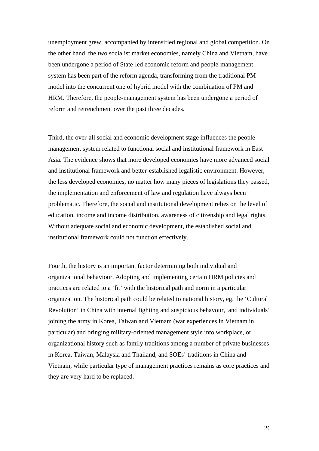unemployment grew, accompanied by intensified regional and global competition. On the other hand, the two socialist market economies, namely China and Vietnam, have been undergone a period of State-led economic reform and people-management system has been part of the reform agenda, transforming from the traditional PM model into the concurrent one of hybrid model with the combination of PM and HRM. Therefore, the people-management system has been undergone a period of reform and retrenchment over the past three decades.

Third, the over-all social and economic development stage influences the peoplemanagement system related to functional social and institutional framework in East Asia. The evidence shows that more developed economies have more advanced social and institutional framework and better-established legalistic environment. However, the less developed economies, no matter how many pieces of legislations they passed, the implementation and enforcement of law and regulation have always been problematic. Therefore, the social and institutional development relies on the level of education, income and income distribution, awareness of citizenship and legal rights. Without adequate social and economic development, the established social and institutional framework could not function effectively.

Fourth, the history is an important factor determining both individual and organizational behaviour. Adopting and implementing certain HRM policies and practices are related to a 'fit' with the historical path and norm in a particular organization. The historical path could be related to national history, eg. the 'Cultural Revolution' in China with internal fighting and suspicious behavour, and individuals' joining the army in Korea, Taiwan and Vietnam (war experiences in Vietnam in particular) and bringing military-oriented management style into workplace, or organizational history such as family traditions among a number of private businesses in Korea, Taiwan, Malaysia and Thailand, and SOEs' traditions in China and Vietnam, while particular type of management practices remains as core practices and they are very hard to be replaced.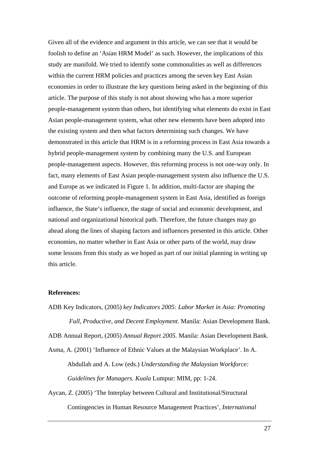Given all of the evidence and argument in this article, we can see that it would be foolish to define an 'Asian HRM Model' as such. However, the implications of this study are manifold. We tried to identify some commonalities as well as differences within the current HRM policies and practices among the seven key East Asian economies in order to illustrate the key questions being asked in the beginning of this article. The purpose of this study is not about showing who has a more superior people-management system than others, but identifying what elements do exist in East Asian people-management system, what other new elements have been adopted into the existing system and then what factors determining such changes. We have demonstrated in this article that HRM is in a reforming process in East Asia towards a hybrid people-management system by combining many the U.S. and European people-management aspects. However, this reforming process is not one-way only. In fact, many elements of East Asian people-management system also influence the U.S. and Europe as we indicated in Figure 1. In addition, multi-factor are shaping the outcome of reforming people-management system in East Asia, identified as foreign influence, the State's influence, the stage of social and economic development, and national and organizational historical path. Therefore, the future changes may go ahead along the lines of shaping factors and influences presented in this article. Other economies, no matter whether in East Asia or other parts of the world, may draw some lessons from this study as we hoped as part of our initial planning in writing up this article.

## **References:**

ADB Key Indicators, (2005) *key Indicators 2005: Labor Market in Asia: Promoting Full, Productive, and Decent Employment.* Manila: Asian Development Bank. ADB Annual Report, (2005) *Annual Report 2005.* Manila: Asian Development Bank.

Asma, A. (2001) 'Influence of Ethnic Values at the Malaysian Workplace'. In A. Abdullah and A. Low (eds.) *Understanding the Malaysian Workforce: Guidelines for Managers. Kuala* Lumpur: MIM, pp: 1-24.

Aycan, Z. (2005) 'The Interplay between Cultural and Institutional/Structural Contingencies in Human Resource Management Practices', *International*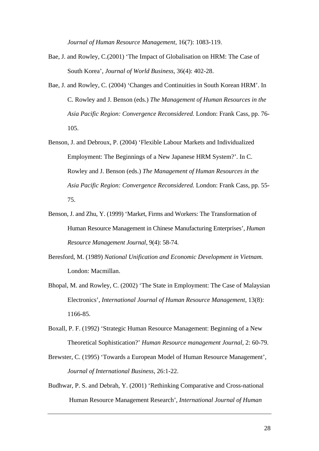*Journal of Human Resource Management,* 16(7): 1083-119.

- Bae, J. and Rowley, C.(2001) 'The Impact of Globalisation on HRM: The Case of South Korea', *Journal of World Business*, 36(4): 402-28.
- Bae, J. and Rowley, C. (2004) 'Changes and Continuities in South Korean HRM'. In C. Rowley and J. Benson (eds.) *The Management of Human Resources in the Asia Pacific Region: Convergence Reconsidered.* London: Frank Cass, pp. 76- 105.
- Benson, J. and Debroux, P. (2004) 'Flexible Labour Markets and Individualized Employment: The Beginnings of a New Japanese HRM System?'. In C. Rowley and J. Benson (eds.) *The Management of Human Resources in the Asia Pacific Region: Convergence Reconsidered.* London: Frank Cass, pp. 55- 75.
- Benson, J. and Zhu, Y. (1999) 'Market, Firms and Workers: The Transformation of Human Resource Management in Chinese Manufacturing Enterprises', *Human Resource Management Journal*, 9(4): 58-74.
- Beresford, M. (1989) *National Unification and Economic Development in Vietnam.*  London: Macmillan.
- Bhopal, M. and Rowley, C. (2002) 'The State in Employment: The Case of Malaysian Electronics', *International Journal of Human Resource Management,* 13(8): 1166-85.
- Boxall, P. F. (1992) 'Strategic Human Resource Management: Beginning of a New Theoretical Sophistication?' *Human Resource management Journal*, 2: 60-79.
- Brewster, C. (1995) 'Towards a European Model of Human Resource Management', *Journal of International Business*, 26:1-22.
- Budhwar, P. S. and Debrah, Y. (2001) 'Rethinking Comparative and Cross-national Human Resource Management Research', *International Journal of Human*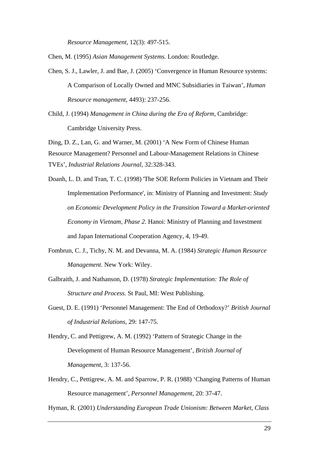*Resource Management,* 12(3): 497-515.

Chen, M. (1995) *Asian Management Systems.* London: Routledge.

- Chen, S. J., Lawler, J. and Bae, J. (2005) 'Convergence in Human Resource systems: A Comparison of Locally Owned and MNC Subsidiaries in Taiwan', *Human Resource management*, 4493): 237-256.
- Child, J. (1994) *Management in China during the Era of Reform*, Cambridge: Cambridge University Press.

Ding, D. Z., Lan, G. and Warner, M. (2001) 'A New Form of Chinese Human Resource Management? Personnel and Labour-Management Relations in Chinese TVEs', *Industrial Relations Journal*, 32:328-343.

- Doanh, L. D. and Tran, T. C. (1998) 'The SOE Reform Policies in Vietnam and Their Implementation Performance', in: Ministry of Planning and Investment: *Study on Economic Development Policy in the Transition Toward a Market-oriented Economy in Vietnam, Phase 2*. Hanoi: Ministry of Planning and Investment and Japan International Cooperation Agency, 4, 19-49.
- Fombrun, C. J., Tichy, N. M. and Devanna, M. A. (1984) *Strategic Human Resource Management.* New York: Wiley.
- Galbraith, J. and Nathanson, D. (1978) *Strategic Implementation: The Role of Structure and Process.* St Paul, MI: West Publishing.
- Guest, D. E. (1991) 'Personnel Management: The End of Orthodoxy?' *British Journal of Industrial Relations,* 29: 147-75.
- Hendry, C. and Pettigrew, A. M. (1992) 'Pattern of Strategic Change in the Development of Human Resource Management', *British Journal of Management*, 3: 137-56.
- Hendry, C., Pettigrew, A. M. and Sparrow, P. R. (1988) 'Changing Patterns of Human Resource management', *Personnel Management*, 20: 37-47.

Hyman, R. (2001) *Understanding European Trade Unionism: Between Market, Class*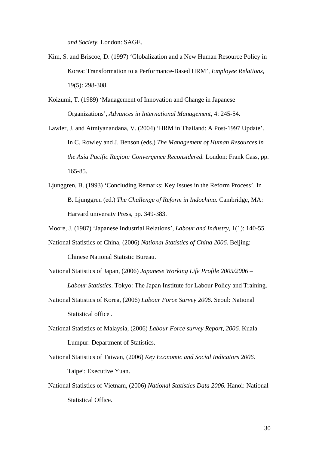*and Society.* London: SAGE.

Kim, S. and Briscoe, D. (1997) 'Globalization and a New Human Resource Policy in Korea: Transformation to a Performance-Based HRM', *Employee Relations,*  19(5): 298-308.

Koizumi, T. (1989) 'Management of Innovation and Change in Japanese Organizations', *Advances in International Management*, 4: 245-54.

Lawler, J. and Atmiyanandana, V. (2004) 'HRM in Thailand: A Post-1997 Update'. In C. Rowley and J. Benson (eds.) *The Management of Human Resources in the Asia Pacific Region: Convergence Reconsidered.* London: Frank Cass, pp. 165-85.

Ljunggren, B. (1993) 'Concluding Remarks: Key Issues in the Reform Process'. In B. Ljunggren (ed.) *The Challenge of Reform in Indochina.* Cambridge, MA: Harvard university Press, pp. 349-383.

Moore, J. (1987) 'Japanese Industrial Relations', *Labour and Industry,* 1(1): 140-55.

National Statistics of China, (2006) *National Statistics of China 2006.* Beijing:

Chinese National Statistic Bureau.

- National Statistics of Japan, (2006) *Japanese Working Life Profile 2005/2006 Labour Statistics*. Tokyo: The Japan Institute for Labour Policy and Training. National Statistics of Korea, (2006) *Labour Force Survey 2006.* Seoul: National Statistical office *.*
- National Statistics of Malaysia, (2006) *Labour Force survey Report, 2006.* Kuala Lumpur: Department of Statistics.
- National Statistics of Taiwan, (2006) *Key Economic and Social Indicators 2006.*  Taipei: Executive Yuan.
- National Statistics of Vietnam, (2006) *National Statistics Data 2006.* Hanoi: National Statistical Office.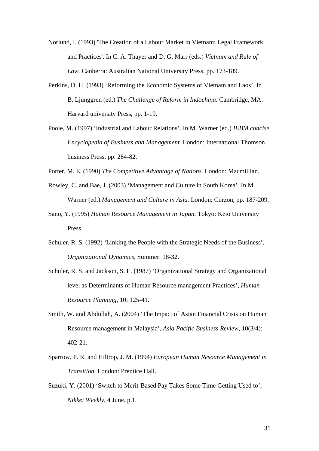- Norlund, I. (1993) 'The Creation of a Labour Market in Vietnam: Legal Framework and Practices'. In C. A. Thayer and D. G. Marr (eds.) *Vietnam and Rule of Law.* Canberra: Australian National University Press, pp. 173-189.
- Perkins, D. H. (1993) 'Reforming the Economic Systems of Vietnam and Laos'. In B. Ljunggren (ed.) *The Challenge of Reform in Indochina.* Cambridge, MA: Harvard university Press, pp. 1-19.
- Poole, M. (1997) 'Industrial and Labour Relations'. In M. Warner (ed.) *IEBM concise Encyclopedia of Business and Management.* London: International Thomson business Press, pp. 264-82.
- Porter, M. E. (1990) *The Competitive Advantage of Nations.* London: Macmillian.
- Rowley, C. and Bae, J. (2003) 'Management and Culture in South Korea'. In M. Warner (ed.) *Management and Culture in Asia.* London: Curzon, pp. 187-209.
- Sano, Y. (1995) *Human Resource Management in Japan.* Tokyo: Keio University Press.
- Schuler, R. S. (1992) 'Linking the People with the Strategic Needs of the Business', *Organizational Dynamics,* Summer: 18-32.
- Schuler, R. S. and Jackson, S. E. (1987) 'Organizational Strategy and Organizational level as Determinants of Human Resource management Practices', *Human Resource Planning*, 10: 125-41.
- Smith, W. and Abdullah, A. (2004) 'The Impact of Asian Financial Crisis on Human Resource management in Malaysia', *Asia Pacific Business Review,* 10(3/4): 402-21.
- Sparrow, P. R. and Hiltrop, J. M. (1994) *European Human Resource Management in Transition.* London: Prentice Hall.
- Suzuki, Y. (2001) 'Switch to Merit-Based Pay Takes Some Time Getting Used to', *Nikkei Weekly,* 4 June. p.1.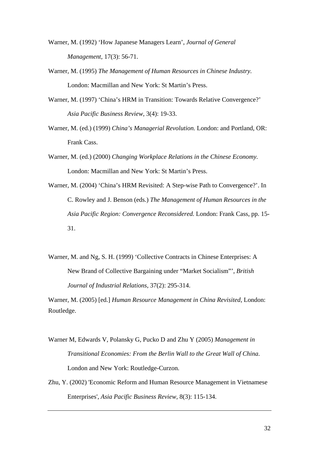- Warner, M. (1992) 'How Japanese Managers Learn', *Journal of General Management,* 17(3): 56-71.
- Warner, M. (1995) *The Management of Human Resources in Chinese Industry.*  London: Macmillan and New York: St Martin's Press.
- Warner, M. (1997) 'China's HRM in Transition: Towards Relative Convergence?' *Asia Pacific Business Review,* 3(4): 19-33.
- Warner, M. (ed.) (1999) *China's Managerial Revolution.* London: and Portland, OR: Frank Cass.
- Warner, M. (ed.) (2000) *Changing Workplace Relations in the Chinese Economy.*  London: Macmillan and New York: St Martin's Press.
- Warner, M. (2004) 'China's HRM Revisited: A Step-wise Path to Convergence?'. In C. Rowley and J. Benson (eds.) *The Management of Human Resources in the Asia Pacific Region: Convergence Reconsidered.* London: Frank Cass, pp. 15- 31.
- Warner, M. and Ng, S. H. (1999) 'Collective Contracts in Chinese Enterprises: A New Brand of Collective Bargaining under "Market Socialism"', *British Journal of Industrial Relations*, 37(2): 295-314.

Warner, M. (2005) [ed.] *Human Resource Management in China Revisited*, London: Routledge.

- Warner M, Edwards V, Polansky G, Pucko D and Zhu Y (2005) *Management in Transitional Economies: From the Berlin Wall to the Great Wall of China*. London and New York: Routledge-Curzon.
- Zhu, Y. (2002) 'Economic Reform and Human Resource Management in Vietnamese Enterprises', *Asia Pacific Business Review,* 8(3): 115-134.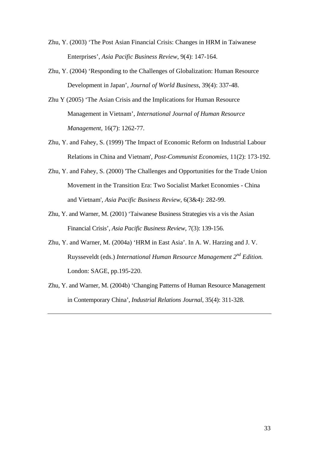- Zhu, Y. (2003) 'The Post Asian Financial Crisis: Changes in HRM in Taiwanese Enterprises', *Asia Pacific Business Review*, 9(4): 147-164.
- Zhu, Y. (2004) 'Responding to the Challenges of Globalization: Human Resource Development in Japan', *Journal of World Business*, 39(4): 337-48.
- Zhu Y (2005) 'The Asian Crisis and the Implications for Human Resource Management in Vietnam', *International Journal of Human Resource Management,* 16(7): 1262-77.
- Zhu, Y. and Fahey, S. (1999) 'The Impact of Economic Reform on Industrial Labour Relations in China and Vietnam', *Post-Communist Economies,* 11(2): 173-192.
- Zhu, Y. and Fahey, S. (2000) 'The Challenges and Opportunities for the Trade Union Movement in the Transition Era: Two Socialist Market Economies - China and Vietnam', *Asia Pacific Business Review*, 6(3&4): 282-99.
- Zhu, Y. and Warner, M. (2001) 'Taiwanese Business Strategies vis a vis the Asian Financial Crisis', *Asia Pacific Business Review*, 7(3): 139-156.
- Zhu, Y. and Warner, M. (2004a) 'HRM in East Asia'. In A. W. Harzing and J. V. Ruysseveldt (eds.) *International Human Resource Management 2nd Edition.* London: SAGE, pp.195-220.
- Zhu, Y. and Warner, M. (2004b) 'Changing Patterns of Human Resource Management in Contemporary China', *Industrial Relations Journal*, 35(4): 311-328.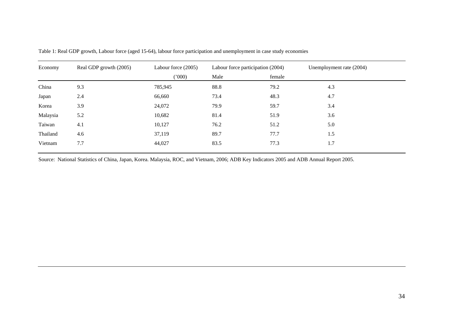| Economy  | Real GDP growth (2005) | Labour force (2005) | Labour force participation (2004) |        | Unemployment rate (2004) |
|----------|------------------------|---------------------|-----------------------------------|--------|--------------------------|
|          |                        | (000)               | Male                              | female |                          |
| China    | 9.3                    | 785,945             | 88.8                              | 79.2   | 4.3                      |
| Japan    | 2.4                    | 66,660              | 73.4                              | 48.3   | 4.7                      |
| Korea    | 3.9                    | 24,072              | 79.9                              | 59.7   | 3.4                      |
| Malaysia | 5.2                    | 10,682              | 81.4                              | 51.9   | 3.6                      |
| Taiwan   | 4.1                    | 10,127              | 76.2                              | 51.2   | 5.0                      |
| Thailand | 4.6                    | 37,119              | 89.7                              | 77.7   | 1.5                      |
| Vietnam  | 7.7                    | 44,027              | 83.5                              | 77.3   | 1.7                      |

Table 1: Real GDP growth, Labour force (aged 15-64), labour force participation and unemployment in case study economies

Source: National Statistics of China, Japan, Korea. Malaysia, ROC, and Vietnam, 2006; ADB Key Indicators 2005 and ADB Annual Report 2005.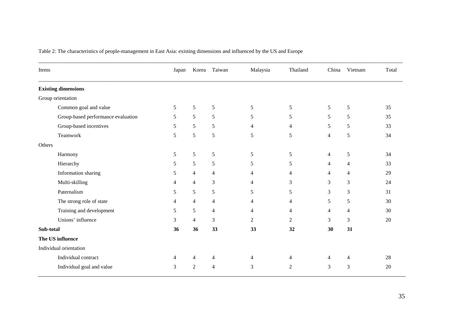| Items     |                                    | Japan          | Korea          | Taiwan         | Malaysia       | Thailand       | China          | Vietnam        | Total |
|-----------|------------------------------------|----------------|----------------|----------------|----------------|----------------|----------------|----------------|-------|
|           | <b>Existing dimensions</b>         |                |                |                |                |                |                |                |       |
|           | Group orientation                  |                |                |                |                |                |                |                |       |
|           | Common goal and value              | 5              | 5              | $\sqrt{5}$     | 5              | 5              | 5              | 5              | 35    |
|           | Group-based performance evaluation | 5              | 5              | 5              | 5              | 5              | 5              | 5              | 35    |
|           | Group-based incentives             | 5              | 5              | 5              | 4              | $\overline{4}$ | 5              | 5              | 33    |
|           | Teamwork                           | $\mathfrak{S}$ | 5              | 5              | 5              | 5              | $\overline{4}$ | 5              | 34    |
| Others    |                                    |                |                |                |                |                |                |                |       |
|           | Harmony                            | 5              | 5              | $\mathfrak{S}$ | 5              | 5              | $\overline{4}$ | 5              | 34    |
|           | Hierarchy                          | 5              | 5              | 5              | 5              | 5              | 4              | $\overline{4}$ | 33    |
|           | Information sharing                | 5              | $\overline{4}$ | $\overline{4}$ | 4              | $\overline{4}$ | $\overline{4}$ | $\overline{4}$ | 29    |
|           | Multi-skilling                     | $\overline{4}$ | $\overline{4}$ | 3              | 4              | 3              | 3              | 3              | 24    |
|           | Paternalism                        | 5              | 5              | 5              | 5              | 5              | 3              | 3              | 31    |
|           | The strong role of state           | 4              | $\overline{4}$ | $\overline{4}$ | 4              | $\overline{4}$ | 5              | 5              | 30    |
|           | Training and development           | 5              | 5              | $\overline{4}$ | 4              | $\overline{4}$ | 4              | $\overline{4}$ | 30    |
|           | Unions' influence                  | 3              | $\overline{4}$ | 3              | $\overline{2}$ | $\overline{2}$ | 3              | 3              | 20    |
| Sub-total |                                    | 36             | 36             | 33             | 33             | 32             | 30             | 31             |       |
|           | The US influence                   |                |                |                |                |                |                |                |       |
|           | Individual orientation             |                |                |                |                |                |                |                |       |
|           | Individual contract                | 4              | 4              | 4              | 4              | $\overline{4}$ | 4              | $\overline{4}$ | 28    |
|           | Individual goal and value          | 3              | 2              | 4              | 3              | $\overline{2}$ | 3              | 3              | 20    |

Table 2: The characteristics of people-management in East Asia: existing dimensions and influenced by the US and Europe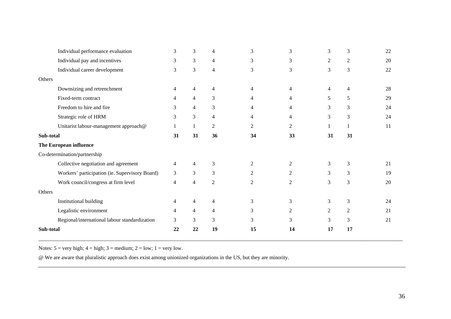|                              | Individual performance evaluation              | 3  | 3              | 4              | 3              | 3              | 3              | 3              | 22 |
|------------------------------|------------------------------------------------|----|----------------|----------------|----------------|----------------|----------------|----------------|----|
|                              | Individual pay and incentives                  | 3  | 3              | $\overline{4}$ | 3              | 3              | $\overline{c}$ | $\overline{c}$ | 20 |
|                              | Individual career development                  | 3  | 3              | 4              | 3              | 3              | 3              | 3              | 22 |
| Others                       |                                                |    |                |                |                |                |                |                |    |
|                              | Downsizing and retrenchment                    | 4  | $\overline{4}$ | $\overline{4}$ | $\overline{4}$ | $\overline{4}$ | 4              | $\overline{4}$ | 28 |
|                              | Fixed-term contract                            | 4  | 4              | 3              | 4              | 4              | 5              | 5              | 29 |
|                              | Freedom to hire and fire                       | 3  | 4              | 3              | $\overline{4}$ | 4              | 3              | 3              | 24 |
|                              | Strategic role of HRM                          | 3  | 3              | 4              | $\overline{4}$ | $\overline{4}$ | 3              | 3              | 24 |
|                              | Unitarist labour-management approach@          |    | 1              | $\overline{2}$ | 2              | 2              |                |                | 11 |
| Sub-total                    |                                                | 31 | 31             | 36             | 34             | 33             | 31             | 31             |    |
| The European influence       |                                                |    |                |                |                |                |                |                |    |
| Co-determination/partnership |                                                |    |                |                |                |                |                |                |    |
|                              | Collective negotiation and agreement           | 4  | $\overline{4}$ | $\mathfrak{Z}$ | $\overline{2}$ | $\overline{2}$ | 3              | 3              | 21 |
|                              | Workers' participation (ie. Supervisory Board) | 3  | $\mathfrak{Z}$ | 3              | 2              | 2              | 3              | 3              | 19 |
|                              | Work council/congress at firm level            | 4  | $\overline{4}$ | $\overline{2}$ | 2              | 2              | 3              | 3              | 20 |
| Others                       |                                                |    |                |                |                |                |                |                |    |
|                              |                                                |    |                |                |                |                |                |                |    |
|                              | Institutional building                         | 4  | 4              | $\overline{4}$ | 3              | 3              | 3              | 3              | 24 |
|                              | Legalistic environment                         | 4  | 4              | $\overline{4}$ | 3              | 2              | 2              | $\overline{c}$ | 21 |
|                              | Regional/international labour standardization  | 3  | 3              | 3              | 3              | 3              | 3              | 3              | 21 |

Notes:  $5 = \text{very high}$ ;  $4 = \text{high}$ ;  $3 = \text{medium}$ ;  $2 = \text{low}$ ;  $1 = \text{very low}$ .

@ We are aware that pluralistic approach does exist among unionized organizations in the US, but they are minority.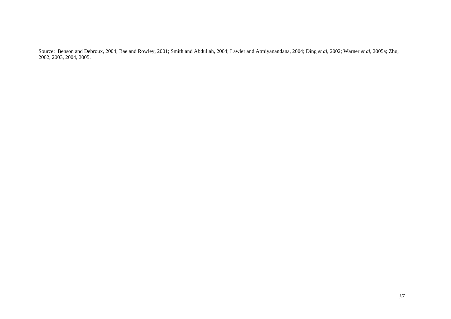Source: Benson and Debroux, 2004; Bae and Rowley, 2001; Smith and Abdullah, 2004; Lawler and Atmiyanandana, 2004; Ding *et al*, 2002; Warner *et al*, 2005a; Zhu, 2002, 2003, 2004, 2005.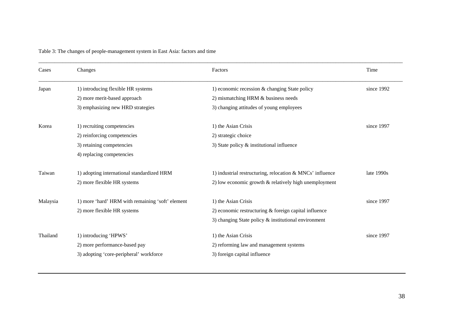Table 3: The changes of people-management system in East Asia: factors and time

| Cases    | Changes                                          | Factors                                                   | Time       |
|----------|--------------------------------------------------|-----------------------------------------------------------|------------|
| Japan    | 1) introducing flexible HR systems               | 1) economic recession & changing State policy             | since 1992 |
|          | 2) more merit-based approach                     | 2) mismatching HRM & business needs                       |            |
|          | 3) emphasizing new HRD strategies                | 3) changing attitudes of young employees                  |            |
| Korea    | 1) recruiting competencies                       | 1) the Asian Crisis                                       | since 1997 |
|          | 2) reinforcing competencies                      | 2) strategic choice                                       |            |
|          | 3) retaining competencies                        | 3) State policy $\&$ institutional influence              |            |
|          | 4) replacing competencies                        |                                                           |            |
| Taiwan   | 1) adopting international standardized HRM       | 1) industrial restructuring, relocation & MNCs' influence | late 1990s |
|          | 2) more flexible HR systems                      | 2) low economic growth $\&$ relatively high unemployment  |            |
| Malaysia | 1) more 'hard' HRM with remaining 'soft' element | 1) the Asian Crisis                                       | since 1997 |
|          | 2) more flexible HR systems                      | 2) economic restructuring $&$ foreign capital influence   |            |
|          |                                                  | 3) changing State policy & institutional environment      |            |
| Thailand | 1) introducing 'HPWS'                            | 1) the Asian Crisis                                       | since 1997 |
|          | 2) more performance-based pay                    | 2) reforming law and management systems                   |            |
|          | 3) adopting 'core-peripheral' workforce          | 3) foreign capital influence                              |            |